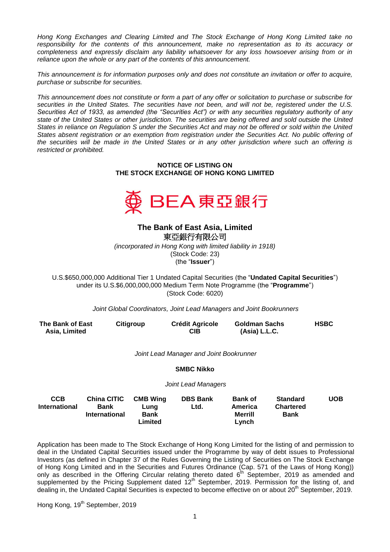*Hong Kong Exchanges and Clearing Limited and The Stock Exchange of Hong Kong Limited take no responsibility for the contents of this announcement, make no representation as to its accuracy or completeness and expressly disclaim any liability whatsoever for any loss howsoever arising from or in reliance upon the whole or any part of the contents of this announcement.*

*This announcement is for information purposes only and does not constitute an invitation or offer to acquire, purchase or subscribe for securities.*

*This announcement does not constitute or form a part of any offer or solicitation to purchase or subscribe for securities in the United States. The securities have not been, and will not be, registered under the U.S. Securities Act of 1933, as amended (the "Securities Act") or with any securities regulatory authority of any state of the United States or other jurisdiction. The securities are being offered and sold outside the United States in reliance on Regulation S under the Securities Act and may not be offered or sold within the United*  States absent registration or an exemption from registration under the Securities Act. No public offering of *the securities will be made in the United States or in any other jurisdiction where such an offering is restricted or prohibited.*

> **NOTICE OF LISTING ON THE STOCK EXCHANGE OF HONG KONG LIMITED**



## **The Bank of East Asia, Limited**  東亞銀行有限公司 *(incorporated in Hong Kong with limited liability in 1918)* (Stock Code: 23) (the "**Issuer**")

U.S.\$650,000,000 Additional Tier 1 Undated Capital Securities (the "**Undated Capital Securities**") under its U.S.\$6,000,000,000 Medium Term Note Programme (the "**Programme**") (Stock Code: 6020)

*Joint Global Coordinators, Joint Lead Managers and Joint Bookrunners*

| The Bank of East<br>Asia, Limited  |                                                           | Citigroup                                         | <b>Crédit Agricole</b><br><b>CIB</b>    |                                                      | Goldman Sachs<br>(Asia) L.L.C.                     |            |
|------------------------------------|-----------------------------------------------------------|---------------------------------------------------|-----------------------------------------|------------------------------------------------------|----------------------------------------------------|------------|
|                                    |                                                           |                                                   | Joint Lead Manager and Joint Bookrunner |                                                      |                                                    |            |
|                                    |                                                           |                                                   | <b>SMBC Nikko</b>                       |                                                      |                                                    |            |
|                                    |                                                           |                                                   | Joint Lead Managers                     |                                                      |                                                    |            |
| <b>CCB</b><br><b>International</b> | <b>China CITIC</b><br><b>Bank</b><br><b>International</b> | <b>CMB Wing</b><br>Lung<br><b>Bank</b><br>Limited | <b>DBS Bank</b><br>Ltd.                 | <b>Bank of</b><br>America<br><b>Merrill</b><br>Lvnch | <b>Standard</b><br><b>Chartered</b><br><b>Bank</b> | <b>UOB</b> |

Application has been made to The Stock Exchange of Hong Kong Limited for the listing of and permission to deal in the Undated Capital Securities issued under the Programme by way of debt issues to Professional Investors (as defined in Chapter 37 of the Rules Governing the Listing of Securities on The Stock Exchange of Hong Kong Limited and in the Securities and Futures Ordinance (Cap. 571 of the Laws of Hong Kong)) only as described in the Offering Circular relating thereto dated  $6^{th}$  September, 2019 as amended and supplemented by the Pricing Supplement dated  $12<sup>th</sup>$  September, 2019. Permission for the listing of, and dealing in, the Undated Capital Securities is expected to become effective on or about 20<sup>th</sup> September, 2019.

Hong Kong, 19<sup>th</sup> September, 2019